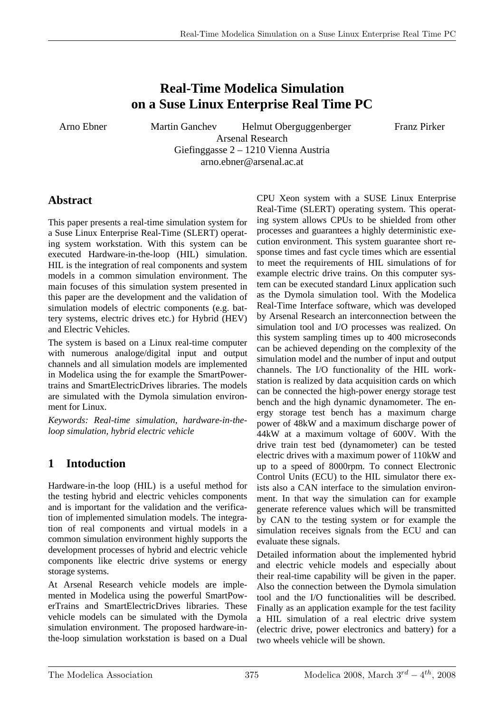# **Real-Time Modelica Simulation on a Suse Linux Enterprise Real Time PC**

Arno Ebner Martin Ganchev Helmut Oberguggenberger Franz Pirker

Arsenal Research Giefinggasse 2 – 1210 Vienna Austria arno.ebner@arsenal.ac.at

# **Abstract**

This paper presents a real-time simulation system for a Suse Linux Enterprise Real-Time (SLERT) operating system workstation. With this system can be executed Hardware-in-the-loop (HIL) simulation. HIL is the integration of real components and system models in a common simulation environment. The main focuses of this simulation system presented in this paper are the development and the validation of simulation models of electric components (e.g. battery systems, electric drives etc.) for Hybrid (HEV) and Electric Vehicles.

The system is based on a Linux real-time computer with numerous analoge/digital input and output channels and all simulation models are implemented in Modelica using the for example the SmartPowertrains and SmartElectricDrives libraries. The models are simulated with the Dymola simulation environment for Linux.

*Keywords: Real-time simulation, hardware-in-theloop simulation, hybrid electric vehicle*

## **1 Intoduction**

Hardware-in-the loop (HIL) is a useful method for the testing hybrid and electric vehicles components and is important for the validation and the verification of implemented simulation models. The integration of real components and virtual models in a common simulation environment highly supports the development processes of hybrid and electric vehicle components like electric drive systems or energy storage systems.

At Arsenal Research vehicle models are implemented in Modelica using the powerful SmartPowerTrains and SmartElectricDrives libraries. These vehicle models can be simulated with the Dymola simulation environment. The proposed hardware-inthe-loop simulation workstation is based on a Dual

CPU Xeon system with a SUSE Linux Enterprise Real-Time (SLERT) operating system. This operating system allows CPUs to be shielded from other processes and guarantees a highly deterministic execution environment. This system guarantee short response times and fast cycle times which are essential to meet the requirements of HIL simulations of for example electric drive trains. On this computer system can be executed standard Linux application such as the Dymola simulation tool. With the Modelica Real-Time Interface software, which was developed by Arsenal Research an interconnection between the simulation tool and I/O processes was realized. On this system sampling times up to 400 microseconds can be achieved depending on the complexity of the simulation model and the number of input and output channels. The I/O functionality of the HIL workstation is realized by data acquisition cards on which can be connected the high-power energy storage test bench and the high dynamic dynamometer. The energy storage test bench has a maximum charge power of 48kW and a maximum discharge power of 44kW at a maximum voltage of 600V. With the drive train test bed (dynamometer) can be tested electric drives with a maximum power of 110kW and up to a speed of 8000rpm. To connect Electronic Control Units (ECU) to the HIL simulator there exists also a CAN interface to the simulation environment. In that way the simulation can for example generate reference values which will be transmitted by CAN to the testing system or for example the simulation receives signals from the ECU and can evaluate these signals.

Detailed information about the implemented hybrid and electric vehicle models and especially about their real-time capability will be given in the paper. Also the connection between the Dymola simulation tool and the I/O functionalities will be described. Finally as an application example for the test facility a HIL simulation of a real electric drive system (electric drive, power electronics and battery) for a two wheels vehicle will be shown.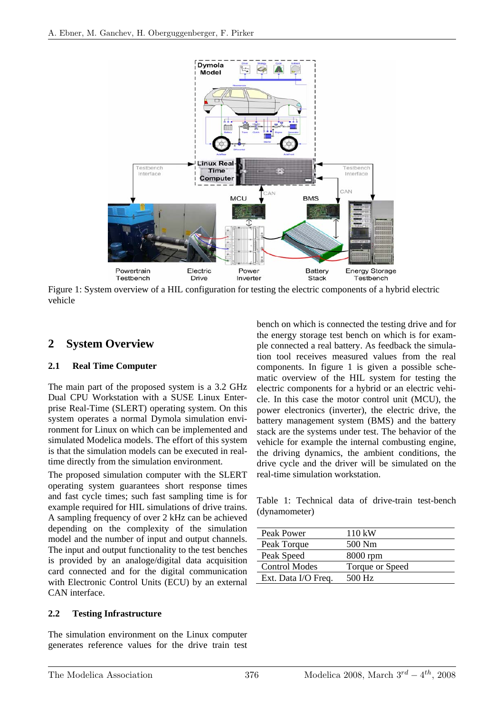

Figure 1: System overview of a HIL configuration for testing the electric components of a hybrid electric vehicle

## **2 System Overview**

#### **2.1 Real Time Computer**

The main part of the proposed system is a 3.2 GHz Dual CPU Workstation with a SUSE Linux Enterprise Real-Time (SLERT) operating system. On this system operates a normal Dymola simulation environment for Linux on which can be implemented and simulated Modelica models. The effort of this system is that the simulation models can be executed in realtime directly from the simulation environment.

The proposed simulation computer with the SLERT operating system guarantees short response times and fast cycle times; such fast sampling time is for example required for HIL simulations of drive trains. A sampling frequency of over 2 kHz can be achieved depending on the complexity of the simulation model and the number of input and output channels. The input and output functionality to the test benches is provided by an analoge/digital data acquisition card connected and for the digital communication with Electronic Control Units (ECU) by an external -CAN interface.

#### **2.2 Testing Infrastructure**

The simulation environment on the Linux computer generates reference values for the drive train test

bench on which is connected the testing drive and for the energy storage test bench on which is for example connected a real battery. As feedback the simulation tool receives measured values from the real components. In figure 1 is given a possible schematic overview of the HIL system for testing the electric components for a hybrid or an electric vehicle. In this case the motor control unit (MCU), the power electronics (inverter), the electric drive, the battery management system (BMS) and the battery stack are the systems under test. The behavior of the vehicle for example the internal combusting engine, the driving dynamics, the ambient conditions, the drive cycle and the driver will be simulated on the real-time simulation workstation.

Table 1: Technical data of drive-train test-bench (dynamometer)

| Peak Power          | $110 \text{ kW}$ |
|---------------------|------------------|
| Peak Torque         | 500 Nm           |
| Peak Speed          | 8000 rpm         |
| Control Modes       | Torque or Speed  |
| Ext. Data I/O Freq. | $500$ Hz         |
|                     |                  |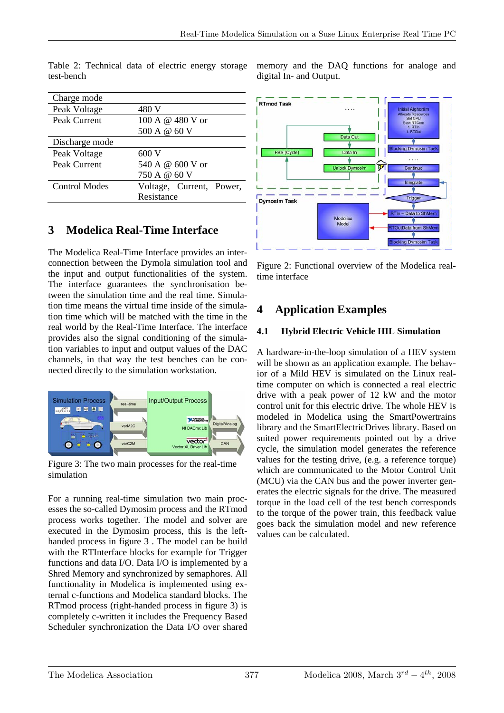| 480 V                    |
|--------------------------|
| 100 A @ 480 V or         |
| 500 A @ 60 V             |
|                          |
| 600 V                    |
| 540 A @ 600 V or         |
| 750 A @ 60 V             |
| Voltage, Current, Power, |
| Resistance               |
|                          |

Table 2: Technical data of electric energy storage test-bench

## **3 Modelica Real-Time Interface**

The Modelica Real-Time Interface provides an interconnection between the Dymola simulation tool and the input and output functionalities of the system. The interface guarantees the synchronisation between the simulation time and the real time. Simulation time means the virtual time inside of the simulation time which will be matched with the time in the real world by the Real-Time Interface. The interface provides also the signal conditioning of the simulation variables to input and output values of the DAC channels, in that way the test benches can be connected directly to the simulation workstation.



Figure 3: The two main processes for the real-time simulation

For a running real-time simulation two main processes the so-called Dymosim process and the RTmod process works together. The model and solver are executed in the Dymosim process, this is the lefthanded process in figure 3 . The model can be build with the RTInterface blocks for example for Trigger functions and data I/O. Data I/O is implemented by a Shred Memory and synchronized by semaphores. All functionality in Modelica is implemented using external c-functions and Modelica standard blocks. The RTmod process (right-handed process in figure 3) is completely c-written it includes the Frequency Based Scheduler synchronization the Data I/O over shared memory and the DAQ functions for analoge and digital In- and Output.



Figure 2: Functional overview of the Modelica realtime interface

## **4 Application Examples**

#### **4.1 Hybrid Electric Vehicle HIL Simulation**

A hardware-in-the-loop simulation of a HEV system will be shown as an application example. The behavior of a Mild HEV is simulated on the Linux realtime computer on which is connected a real electric drive with a peak power of 12 kW and the motor control unit for this electric drive. The whole HEV is modeled in Modelica using the SmartPowertrains library and the SmartElectricDrives library. Based on suited power requirements pointed out by a drive cycle, the simulation model generates the reference values for the testing drive, (e.g. a reference torque) which are communicated to the Motor Control Unit (MCU) via the CAN bus and the power inverter generates the electric signals for the drive. The measured torque in the load cell of the test bench corresponds to the torque of the power train, this feedback value goes back the simulation model and new reference values can be calculated.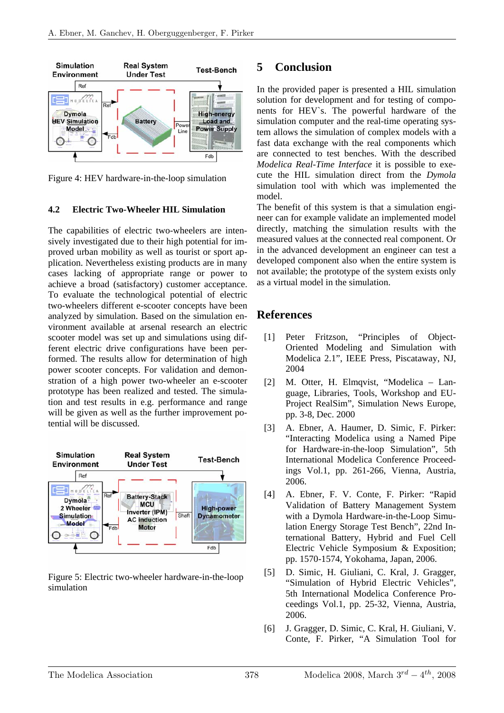

Figure 4: HEV hardware-in-the-loop simulation

#### **4.2 Electric Two-Wheeler HIL Simulation**

The capabilities of electric two-wheelers are intensively investigated due to their high potential for improved urban mobility as well as tourist or sport application. Nevertheless existing products are in many cases lacking of appropriate range or power to achieve a broad (satisfactory) customer acceptance. To evaluate the technological potential of electric two-wheelers different e-scooter concepts have been analyzed by simulation. Based on the simulation environment available at arsenal research an electric scooter model was set up and simulations using different electric drive configurations have been performed. The results allow for determination of high power scooter concepts. For validation and demonstration of a high power two-wheeler an e-scooter prototype has been realized and tested. The simulation and test results in e.g. performance and range will be given as well as the further improvement potential will be discussed.



Figure 5: Electric two-wheeler hardware-in-the-loop simulation

### **5 Conclusion**

In the provided paper is presented a HIL simulation solution for development and for testing of components for HEV`s. The powerful hardware of the simulation computer and the real-time operating system allows the simulation of complex models with a fast data exchange with the real components which are connected to test benches. With the described *Modelica Real-Time Interface* it is possible to execute the HIL simulation direct from the *Dymola* simulation tool with which was implemented the model.

The benefit of this system is that a simulation engineer can for example validate an implemented model directly, matching the simulation results with the measured values at the connected real component. Or in the advanced development an engineer can test a developed component also when the entire system is not available; the prototype of the system exists only as a virtual model in the simulation.

### **References**

- [1] Peter Fritzson, "Principles of Object-Oriented Modeling and Simulation with Modelica 2.1", IEEE Press, Piscataway, NJ, 2004
- [2] M. Otter, H. Elmqvist, "Modelica Language, Libraries, Tools, Workshop and EU-Project RealSim", Simulation News Europe, pp. 3-8, Dec. 2000
- [3] A. Ebner, A. Haumer, D. Simic, F. Pirker: "Interacting Modelica using a Named Pipe for Hardware-in-the-loop Simulation", 5th International Modelica Conference Proceedings Vol.1, pp. 261-266, Vienna, Austria, 2006.
- [4] A. Ebner, F. V. Conte, F. Pirker: "Rapid Validation of Battery Management System with a Dymola Hardware-in-the-Loop Simulation Energy Storage Test Bench", 22nd International Battery, Hybrid and Fuel Cell Electric Vehicle Symposium & Exposition; pp. 1570-1574, Yokohama, Japan, 2006.
- [5] D. Simic, H. Giuliani, C. Kral, J. Gragger, "Simulation of Hybrid Electric Vehicles", 5th International Modelica Conference Proceedings Vol.1, pp. 25-32, Vienna, Austria, 2006.
- [6] J. Gragger, D. Simic, C. Kral, H. Giuliani, V. Conte, F. Pirker, "A Simulation Tool for